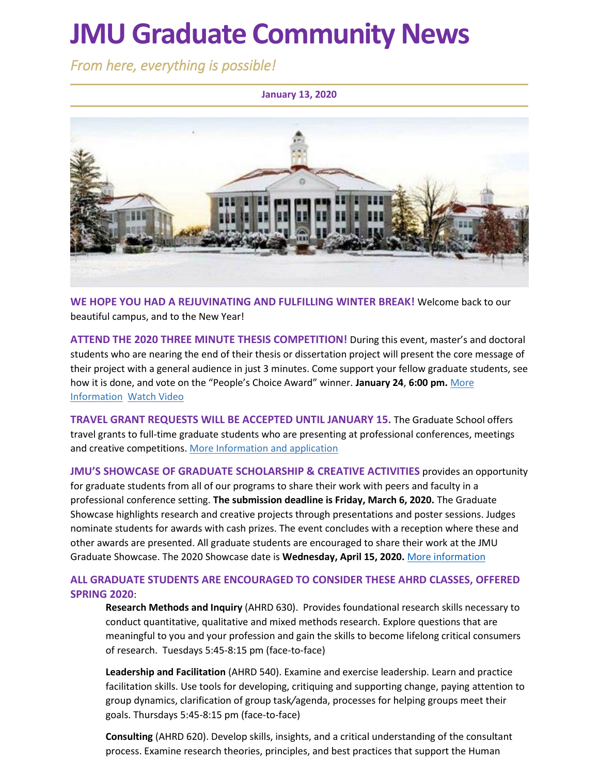# **JMU Graduate Community News**

*From here, everything is possible!* 

**January 13, 2020**



**WE HOPE YOU HAD A REJUVINATING AND FULFILLING WINTER BREAK!** Welcome back to our beautiful campus, and to the New Year!

**ATTEND THE 2020 THREE MINUTE THESIS COMPETITION!** During this event, master's and doctoral students who are nearing the end of their thesis or dissertation project will present the core message of their project with a general audience in just 3 minutes. Come support your fellow graduate students, see how it is done, and vote on the "People's Choice Award" winner. **January 24**, **6:00 pm.** [More](https://www.jmu.edu/grad/current-students/three-minute-thesis.shtml)  [Information](https://www.jmu.edu/grad/current-students/three-minute-thesis.shtml) [Watch Video](https://www.youtube.com/watch?v=ro-EjO9kJI8&list=PL5gbai5mqVofzafXS2nOt7XRAGnK9D9ci&index=11)

**TRAVEL GRANT REQUESTS WILL BE ACCEPTED UNTIL JANUARY 15.** The Graduate School offers travel grants to full-time graduate students who are presenting at professional conferences, meetings and creative competitions[. More Information and application](https://www.jmu.edu/grad/current-students/awards-grants/travel-grants.shtml)

**JMU'S SHOWCASE OF GRADUATE SCHOLARSHIP & CREATIVE ACTIVITIES** provides an opportunity for graduate students from all of our programs to share their work with peers and faculty in a professional conference setting. **The submission deadline is Friday, March 6, 2020.** The Graduate Showcase highlights research and creative projects through presentations and poster sessions. Judges nominate students for awards with cash prizes. The event concludes with a reception where these and other awards are presented. All graduate students are encouraged to share their work at the JMU Graduate Showcase. The 2020 Showcase date is **Wednesday, April 15, 2020.** [More information](https://www.jmu.edu/grad/GraduateShowcase/index.shtml)

#### **ALL GRADUATE STUDENTS ARE ENCOURAGED TO CONSIDER THESE AHRD CLASSES, OFFERED SPRING 2020**:

**Research Methods and Inquiry** (AHRD 630). Provides foundational research skills necessary to conduct quantitative, qualitative and mixed methods research. Explore questions that are meaningful to you and your profession and gain the skills to become lifelong critical consumers of research. Tuesdays 5:45-8:15 pm (face-to-face)

**Leadership and Facilitation** (AHRD 540). Examine and exercise leadership. Learn and practice facilitation skills. Use tools for developing, critiquing and supporting change, paying attention to group dynamics, clarification of group task*/*agenda, processes for helping groups meet their goals. Thursdays 5:45-8:15 pm (face-to-face)

**Consulting** (AHRD 620). Develop skills, insights, and a critical understanding of the consultant process. Examine research theories, principles, and best practices that support the Human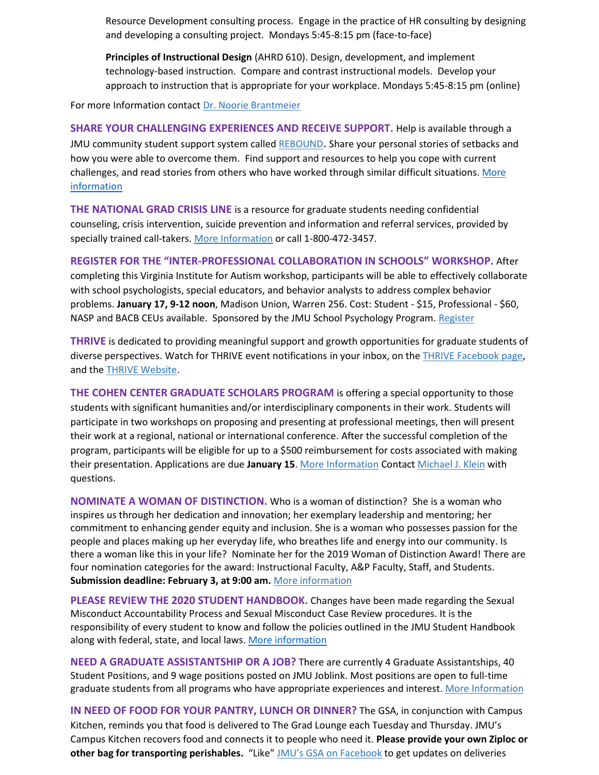Resource Development consulting process. Engage in the practice of HR consulting by designing and developing a consulting project. Mondays 5:45-8:15 pm (face-to-face)

**Principles of Instructional Design** (AHRD 610). Design, development, and implement technology-based instruction. Compare and contrast instructional models. Develop your approach to instruction that is appropriate for your workplace. Mondays 5:45-8:15 pm (online)

For more Information contact [Dr. Noorie Brantmeier](mailto:brantmnk@jmu.edu)

**SHARE YOUR CHALLENGING EXPERIENCES AND RECEIVE SUPPORT.** Help is available through a JMU community student support system called [REBOUND](https://sites.lib.jmu.edu/rebound/)**.** Share your personal stories of setbacks and how you were able to overcome them. Find support and resources to help you cope with current challenges, and read stories from others who have worked through similar difficult situations[. More](https://sites.lib.jmu.edu/rebound/)  [information](https://sites.lib.jmu.edu/rebound/)

**THE NATIONAL GRAD CRISIS LINE** is a resource for graduate students needing confidential counseling, crisis intervention, suicide prevention and information and referral services, provided by specially trained call-takers. [More Information](http://gradresources.org/crisis/) or call 1-800-472-3457.

**REGISTER FOR THE "INTER-PROFESSIONAL COLLABORATION IN SCHOOLS" WORKSHOP.** After completing this Virginia Institute for Autism workshop, participants will be able to effectively collaborate with school psychologists, special educators, and behavior analysts to address complex behavior problems. **January 17, 9-12 noon**, Madison Union, Warren 256. Cost: Student - \$15, Professional - \$60, NASP and BACB CEUs available. Sponsored by the JMU School Psychology Program. [Register](https://jmu.irisregistration.com/Form/ICS)

**THRIVE** is dedicated to providing meaningful support and growth opportunities for graduate students of diverse perspectives. Watch for THRIVE event notifications in your inbox, on the [THRIVE Facebook page,](https://www.facebook.com/ThriveJMU) and th[e THRIVE Website.](https://www.jmu.edu/grad/THRIVE/)

**THE COHEN CENTER GRADUATE SCHOLARS PROGRAM** is offering a special opportunity to those students with significant humanities and/or interdisciplinary components in their work. Students will participate in two workshops on proposing and presenting at professional meetings, then will present their work at a regional, national or international conference. After the successful completion of the program, participants will be eligible for up to a \$500 reimbursement for costs associated with making their presentation. Applications are due **January 15**. [More Information](https://www.jmu.edu/cohencenter/resources.shtml) Contact [Michael J. Klein](mailto:kleinmj@jmu.edu) with questions.

**NOMINATE A WOMAN OF DISTINCTION.** Who is a woman of distinction? She is a woman who inspires us through her dedication and innovation; her exemplary leadership and mentoring; her commitment to enhancing gender equity and inclusion. She is a woman who possesses passion for the people and places making up her everyday life, who breathes life and energy into our community. Is there a woman like this in your life? Nominate her for the 2019 Woman of Distinction Award! There are four nomination categories for the award: Instructional Faculty, A&P Faculty, Staff, and Students. **Submission deadline: February 3, at 9:00 am.** [More information](https://www.jmu.edu/diversity/programs-and-events/Woman-of-Distinction-Award.shtml)

**PLEASE REVIEW THE 2020 STUDENT HANDBOOK.** Changes have been made regarding the Sexual Misconduct Accountability Process and Sexual Misconduct Case Review procedures. It is the responsibility of every student to know and follow the policies outlined in the JMU Student Handbook along with federal, state, and local laws. [More information](https://www.jmu.edu/osarp/handbook/index.shtml)

**NEED A GRADUATE ASSISTANTSHIP OR A JOB?** There are currently 4 Graduate Assistantships, 40 Student Positions, and 9 wage positions posted on JMU Joblink. Most positions are open to full-time graduate students from all programs who have appropriate experiences and interest. [More Information](https://joblink.jmu.edu/)

**IN NEED OF FOOD FOR YOUR PANTRY, LUNCH OR DINNER?** The GSA, in conjunction with Campus Kitchen, reminds you that food is delivered to The Grad Lounge each Tuesday and Thursday. JMU's Campus Kitchen recovers food and connects it to people who need it. **Please provide your own Ziploc or**  other bag for transporting perishables. "Like" [JMU's GSA on Facebook](https://www.facebook.com/JMUGSA/) to get updates on deliveries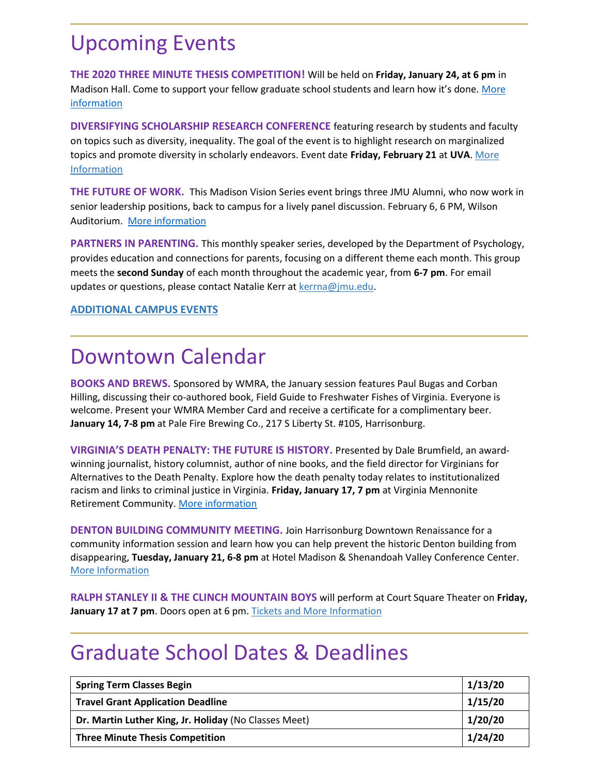### Upcoming Events

**THE 2020 THREE MINUTE THESIS COMPETITION!** Will be held on **Friday, January 24, at 6 pm** in Madison Hall. Come to support your fellow graduate school students and learn how it's done. [More](https://www.jmu.edu/grad/current-students/three-minute-thesis.shtml)  [information](https://www.jmu.edu/grad/current-students/three-minute-thesis.shtml)

**DIVERSIFYING SCHOLARSHIP RESEARCH CONFERENCE** featuring research by students and faculty on topics such as diversity, inequality. The goal of the event is to highlight research on marginalized topics and promote diversity in scholarly endeavors. Event date **Friday, February 21** at **UVA**[. More](https://uva.theopenscholar.com/diversifyingscholarship)  [Information](https://uva.theopenscholar.com/diversifyingscholarship)

**THE FUTURE OF WORK.** This Madison Vision Series event brings three JMU Alumni, who now work in senior leadership positions, back to campus for a lively panel discussion. February 6, 6 PM, Wilson Auditorium. [More information](https://www.jmu.edu/news/2020/01/07-the-future-of-work.shtml)

**PARTNERS IN PARENTING.** This monthly speaker series, developed by the Department of Psychology, provides education and connections for parents, focusing on a different theme each month. This group meets the **second Sunday** of each month throughout the academic year, from **6-7 pm**. For email updates or questions, please contact Natalie Kerr at [kerrna@jmu.edu.](mailto:kerrna@jmu.edu)

#### **[ADDITIONAL CAMPUS EVENTS](https://www.jmu.edu/events/)**

### Downtown Calendar

**BOOKS AND BREWS.** Sponsored by WMRA, the January session features Paul Bugas and Corban Hilling, discussing their co-authored book, Field Guide to Freshwater Fishes of Virginia. Everyone is welcome. Present your WMRA Member Card and receive a certificate for a complimentary beer. **January 14, 7-8 pm** at Pale Fire Brewing Co., 217 S Liberty St. #105, Harrisonburg.

**VIRGINIA'S DEATH PENALTY: THE FUTURE IS HISTORY.** Presented by Dale Brumfield, an awardwinning journalist, history columnist, author of nine books, and the field director for Virginians for Alternatives to the Death Penalty. Explore how the death penalty today relates to institutionalized racism and links to criminal justice in Virginia. **Friday, January 17, 7 pm** at Virginia Mennonite Retirement Community. [More information](https://tockify.com/events.visitharrisonburgva/detail/2581/1579305600000)

**DENTON BUILDING COMMUNITY MEETING.** Join Harrisonburg Downtown Renaissance for a community information session and learn how you can help prevent the historic Denton building from disappearing, **Tuesday, January 21, 6-8 pm** at Hotel Madison & Shenandoah Valley Conference Center. [More Information](https://www.facebook.com/events/816829058743698/)

**RALPH STANLEY II & THE CLINCH MOUNTAIN BOYS** will perform at Court Square Theater on **Friday, January 17 at 7 pm**. Doors open at 6 pm. [Tickets and More Information](https://www.valleyarts.org/performances/2020/1/17/ralph-stanley-ii-amp-the-clinch-mountain-boys)

### Graduate School Dates & Deadlines

| <b>Spring Term Classes Begin</b>                      | 1/13/20 |
|-------------------------------------------------------|---------|
| <b>Travel Grant Application Deadline</b>              | 1/15/20 |
| Dr. Martin Luther King, Jr. Holiday (No Classes Meet) | 1/20/20 |
| <b>Three Minute Thesis Competition</b>                | 1/24/20 |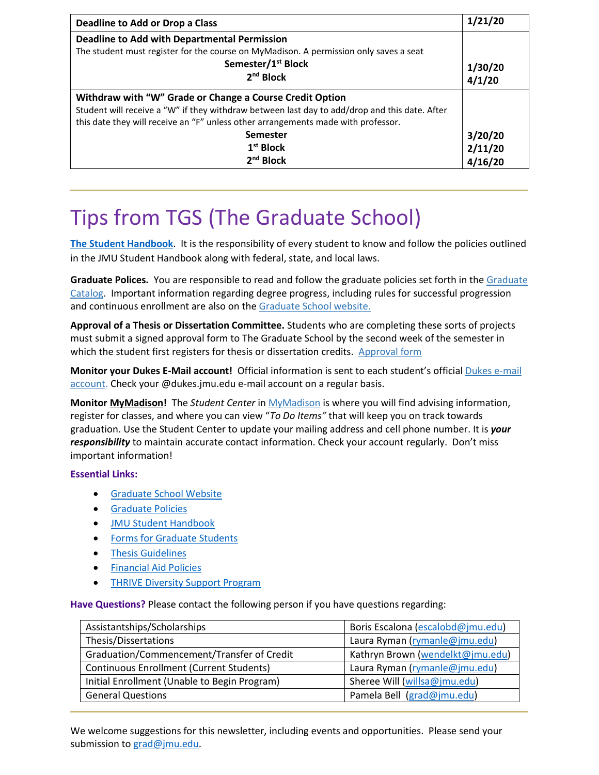| <b>Deadline to Add or Drop a Class</b>                                                                                                                                                                                                                                                                              | 1/21/20                       |
|---------------------------------------------------------------------------------------------------------------------------------------------------------------------------------------------------------------------------------------------------------------------------------------------------------------------|-------------------------------|
| <b>Deadline to Add with Departmental Permission</b><br>The student must register for the course on MyMadison. A permission only saves a seat<br>Semester/1 <sup>st</sup> Block<br>2 <sup>nd</sup> Block                                                                                                             | 1/30/20<br>4/1/20             |
| Withdraw with "W" Grade or Change a Course Credit Option<br>Student will receive a "W" if they withdraw between last day to add/drop and this date. After<br>this date they will receive an "F" unless other arrangements made with professor.<br><b>Semester</b><br>1 <sup>st</sup> Block<br>2 <sup>nd</sup> Block | 3/20/20<br>2/11/20<br>4/16/20 |

## Tips from TGS (The Graduate School)

**The Student Handbook**. It is the responsibility of every student to know and follow the policies outlined in the JMU Student Handbook along with federal, state, and local laws.

**Graduate Polices.** You are responsible to read and follow the graduate policies set forth in th[e Graduate](http://jmu.edu/catalog)  [Catalog.](http://jmu.edu/catalog) Important information regarding degree progress, including rules for successful progression and continuous enrollment are also on the [Graduate School website.](http://www.jmu.edu/grad/current-students/degree-progress/beginning.shtml)

**Approval of a Thesis or Dissertation Committee.** Students who are completing these sorts of projects must submit a signed approval form to The Graduate School by the second week of the semester in which the student first registers for thesis or dissertation credits. [Approval form](https://www.jmu.edu/grad/_files/CommitteeApprovalForm2017-18.pdf)

**Monitor your Dukes E-Mail account!** Official information is sent to each student's officia[l Dukes e-mail](http://www.jmu.edu/computing/helpdesk/selfhelp/DukesEmail.shtml)  [account.](http://www.jmu.edu/computing/helpdesk/selfhelp/DukesEmail.shtml) Check your @dukes.jmu.edu e-mail account on a regular basis.

**Monitor [MyMadison!](http://mymadison.jmu.edu/)** The *Student Center* i[n MyMadison](http://mymadison.jmu.edu/) is where you will find advising information, register for classes, and where you can view "*To Do Items"* that will keep you on track towards graduation. Use the Student Center to update your mailing address and cell phone number. It is *your responsibility* to maintain accurate contact information. Check your account regularly. Don't miss important information!

#### **Essential Links:**

- [Graduate School Website](http://www.jmu.edu/grad)
- [Graduate Policies](http://www.jmu.edu/catalog/index.shtml)
- [JMU Student Handbook](https://www.jmu.edu/osarp/handbook/index.shtml)
- [Forms for Graduate Students](http://www.jmu.edu/grad/current-students/graduate-forms.shtml)
- [Thesis Guidelines](http://www.jmu.edu/grad/current-students/thesis-dissertation/information.shtml)
- [Financial Aid Policies](https://www.jmu.edu/financialaid/)
- **[THRIVE Diversity Support Program](https://www.jmu.edu/grad/THRIVE/index.shtml)**

**Have Questions?** Please contact the following person if you have questions regarding:

| Assistantships/Scholarships                     | Boris Escalona (escalobd@jmu.edu) |
|-------------------------------------------------|-----------------------------------|
| Thesis/Dissertations                            | Laura Ryman (rymanle@jmu.edu)     |
| Graduation/Commencement/Transfer of Credit      | Kathryn Brown (wendelkt@jmu.edu)  |
| <b>Continuous Enrollment (Current Students)</b> | Laura Ryman (rymanle@jmu.edu)     |
| Initial Enrollment (Unable to Begin Program)    | Sheree Will (willsa@jmu.edu)      |
| <b>General Questions</b>                        | Pamela Bell (grad@jmu.edu)        |

We welcome suggestions for this newsletter, including events and opportunities. Please send your submission to [grad@jmu.edu.](mailto:grad@jmu.edu)